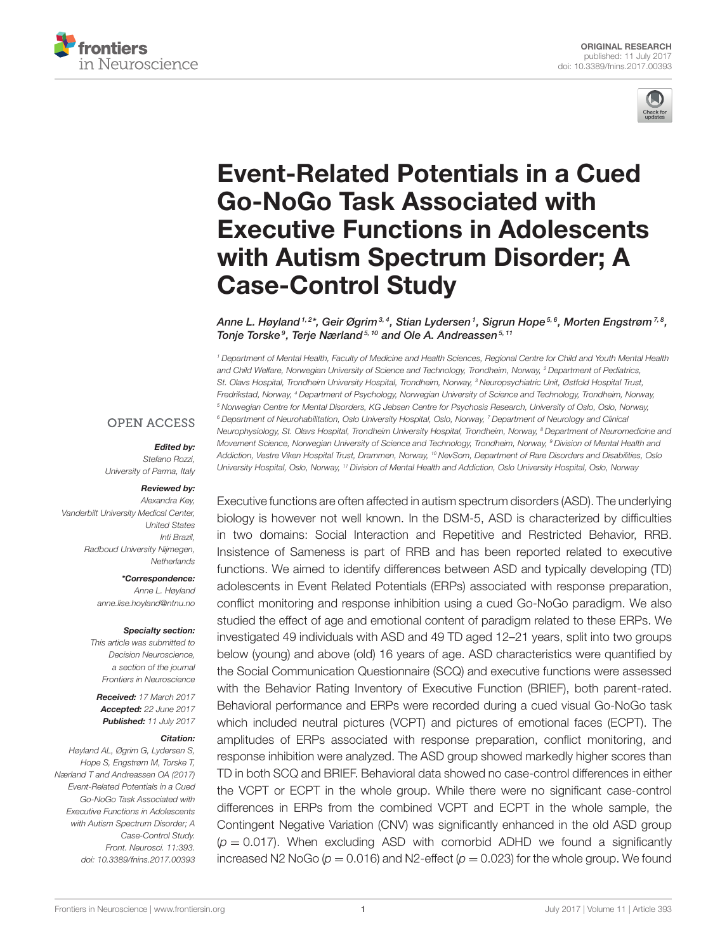



# Event-Related Potentials in a Cued Go-NoGo Task Associated with [Executive Functions in Adolescents](http://journal.frontiersin.org/article/10.3389/fnins.2017.00393/abstract) with Autism Spectrum Disorder; A Case-Control Study

[Anne L. Høyland](http://loop.frontiersin.org/people/405942/overview) $^{1,2*}$ , [Geir Øgrim](http://loop.frontiersin.org/people/431571/overview) $^{3,4}$ , Stian Lydersen $^1$ , Sigrun Hope $^{5,6}$ , [Morten Engstrøm](http://loop.frontiersin.org/people/447220/overview) $^{7,8},$ [Tonje Torske](http://loop.frontiersin.org/people/422075/overview)<sup>9</sup>, [Terje Nærland](http://loop.frontiersin.org/people/423717/overview)<sup>5, 10</sup> and [Ole A. Andreassen](http://loop.frontiersin.org/people/552/overview)<sup>5, 11</sup>

*<sup>1</sup> Department of Mental Health, Faculty of Medicine and Health Sciences, Regional Centre for Child and Youth Mental Health and Child Welfare, Norwegian University of Science and Technology, Trondheim, Norway, <sup>2</sup> Department of Pediatrics, St. Olavs Hospital, Trondheim University Hospital, Trondheim, Norway, <sup>3</sup> Neuropsychiatric Unit, Østfold Hospital Trust, Fredrikstad, Norway, <sup>4</sup> Department of Psychology, Norwegian University of Science and Technology, Trondheim, Norway, <sup>5</sup> Norwegian Centre for Mental Disorders, KG Jebsen Centre for Psychosis Research, University of Oslo, Oslo, Norway, <sup>6</sup> Department of Neurohabilitation, Oslo University Hospital, Oslo, Norway, <sup>7</sup> Department of Neurology and Clinical Neurophysiology, St. Olavs Hospital, Trondheim University Hospital, Trondheim, Norway, <sup>8</sup> Department of Neuromedicine and Movement Science, Norwegian University of Science and Technology, Trondheim, Norway, <sup>9</sup> Division of Mental Health and Addiction, Vestre Viken Hospital Trust, Drammen, Norway, <sup>10</sup> NevSom, Department of Rare Disorders and Disabilities, Oslo University Hospital, Oslo, Norway, <sup>11</sup> Division of Mental Health and Addiction, Oslo University Hospital, Oslo, Norway*

#### **OPEN ACCESS**

#### Edited by:

*Stefano Rozzi, University of Parma, Italy*

#### Reviewed by:

*Alexandra Key, Vanderbilt University Medical Center, United States Inti Brazil, Radboud University Nijmegen, Netherlands*

> \*Correspondence: *Anne L. Høyland [anne.lise.hoyland@ntnu.no](mailto:anne.lise.hoyland@ntnu.no)*

#### Specialty section:

*This article was submitted to Decision Neuroscience, a section of the journal Frontiers in Neuroscience*

Received: *17 March 2017* Accepted: *22 June 2017* Published: *11 July 2017*

#### Citation:

*Høyland AL, Øgrim G, Lydersen S, Hope S, Engstrøm M, Torske T, Nærland T and Andreassen OA (2017) Event-Related Potentials in a Cued Go-NoGo Task Associated with Executive Functions in Adolescents with Autism Spectrum Disorder; A Case-Control Study. Front. Neurosci. 11:393. doi: [10.3389/fnins.2017.00393](https://doi.org/10.3389/fnins.2017.00393)*

Executive functions are often affected in autism spectrum disorders (ASD). The underlying biology is however not well known. In the DSM-5, ASD is characterized by difficulties in two domains: Social Interaction and Repetitive and Restricted Behavior, RRB. Insistence of Sameness is part of RRB and has been reported related to executive functions. We aimed to identify differences between ASD and typically developing (TD) adolescents in Event Related Potentials (ERPs) associated with response preparation, conflict monitoring and response inhibition using a cued Go-NoGo paradigm. We also studied the effect of age and emotional content of paradigm related to these ERPs. We investigated 49 individuals with ASD and 49 TD aged 12–21 years, split into two groups below (young) and above (old) 16 years of age. ASD characteristics were quantified by the Social Communication Questionnaire (SCQ) and executive functions were assessed with the Behavior Rating Inventory of Executive Function (BRIEF), both parent-rated. Behavioral performance and ERPs were recorded during a cued visual Go-NoGo task which included neutral pictures (VCPT) and pictures of emotional faces (ECPT). The amplitudes of ERPs associated with response preparation, conflict monitoring, and response inhibition were analyzed. The ASD group showed markedly higher scores than TD in both SCQ and BRIEF. Behavioral data showed no case-control differences in either the VCPT or ECPT in the whole group. While there were no significant case-control differences in ERPs from the combined VCPT and ECPT in the whole sample, the Contingent Negative Variation (CNV) was significantly enhanced in the old ASD group  $(p = 0.017)$ . When excluding ASD with comorbid ADHD we found a significantly increased N2 NoGo ( $p = 0.016$ ) and N2-effect ( $p = 0.023$ ) for the whole group. We found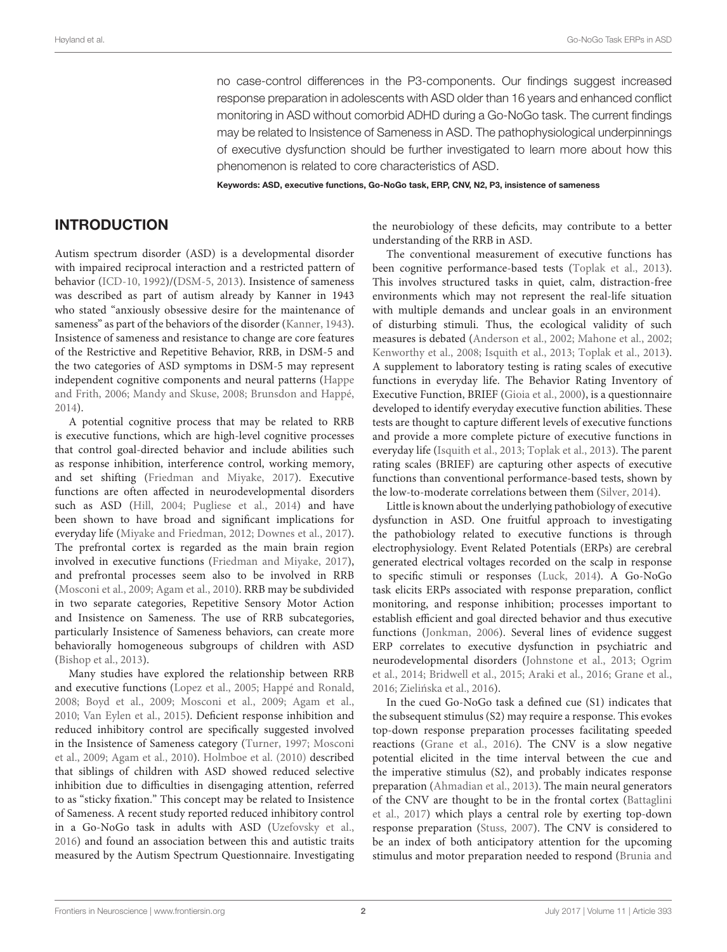no case-control differences in the P3-components. Our findings suggest increased response preparation in adolescents with ASD older than 16 years and enhanced conflict monitoring in ASD without comorbid ADHD during a Go-NoGo task. The current findings may be related to Insistence of Sameness in ASD. The pathophysiological underpinnings of executive dysfunction should be further investigated to learn more about how this phenomenon is related to core characteristics of ASD.

Keywords: ASD, executive functions, Go-NoGo task, ERP, CNV, N2, P3, insistence of sameness

## INTRODUCTION

Autism spectrum disorder (ASD) is a developmental disorder with impaired reciprocal interaction and a restricted pattern of behavior [\(ICD-10, 1992\)](#page-11-0)/[\(DSM-5, 2013\)](#page-10-0). Insistence of sameness was described as part of autism already by Kanner in 1943 who stated "anxiously obsessive desire for the maintenance of sameness" as part of the behaviors of the disorder [\(Kanner, 1943\)](#page-11-1). Insistence of sameness and resistance to change are core features of the Restrictive and Repetitive Behavior, RRB, in DSM-5 and the two categories of ASD symptoms in DSM-5 may represent independent cognitive components and neural patterns (Happe and Frith, [2006;](#page-11-2) [Mandy and Skuse, 2008;](#page-11-3) [Brunsdon and Happé,](#page-10-1) [2014\)](#page-10-1).

A potential cognitive process that may be related to RRB is executive functions, which are high-level cognitive processes that control goal-directed behavior and include abilities such as response inhibition, interference control, working memory, and set shifting [\(Friedman and Miyake, 2017\)](#page-11-4). Executive functions are often affected in neurodevelopmental disorders such as ASD [\(Hill, 2004;](#page-11-5) [Pugliese et al., 2014\)](#page-11-6) and have been shown to have broad and significant implications for everyday life [\(Miyake and Friedman, 2012;](#page-11-7) [Downes et al., 2017\)](#page-10-2). The prefrontal cortex is regarded as the main brain region involved in executive functions [\(Friedman and Miyake, 2017\)](#page-11-4), and prefrontal processes seem also to be involved in RRB [\(Mosconi et al., 2009;](#page-11-8) [Agam et al., 2010\)](#page-10-3). RRB may be subdivided in two separate categories, Repetitive Sensory Motor Action and Insistence on Sameness. The use of RRB subcategories, particularly Insistence of Sameness behaviors, can create more behaviorally homogeneous subgroups of children with ASD [\(Bishop et al., 2013\)](#page-10-4).

Many studies have explored the relationship between RRB and executive functions [\(Lopez et al., 2005;](#page-11-9) [Happé and Ronald,](#page-11-10) [2008;](#page-11-10) [Boyd et al., 2009;](#page-10-5) [Mosconi et al., 2009;](#page-11-8) [Agam et al.,](#page-10-3) [2010;](#page-10-3) [Van Eylen et al., 2015\)](#page-12-0). Deficient response inhibition and reduced inhibitory control are specifically suggested involved in the Insistence of Sameness category [\(Turner, 1997;](#page-12-1) Mosconi et al., [2009;](#page-11-8) [Agam et al., 2010\)](#page-10-3). [Holmboe et al. \(2010\)](#page-11-11) described that siblings of children with ASD showed reduced selective inhibition due to difficulties in disengaging attention, referred to as "sticky fixation." This concept may be related to Insistence of Sameness. A recent study reported reduced inhibitory control in a Go-NoGo task in adults with ASD [\(Uzefovsky et al.,](#page-12-2) [2016\)](#page-12-2) and found an association between this and autistic traits measured by the Autism Spectrum Questionnaire. Investigating the neurobiology of these deficits, may contribute to a better understanding of the RRB in ASD.

The conventional measurement of executive functions has been cognitive performance-based tests [\(Toplak et al., 2013\)](#page-12-3). This involves structured tasks in quiet, calm, distraction-free environments which may not represent the real-life situation with multiple demands and unclear goals in an environment of disturbing stimuli. Thus, the ecological validity of such measures is debated [\(Anderson et al., 2002;](#page-10-6) [Mahone et al., 2002;](#page-11-12) [Kenworthy et al., 2008;](#page-11-13) [Isquith et al., 2013;](#page-11-14) [Toplak et al., 2013\)](#page-12-3). A supplement to laboratory testing is rating scales of executive functions in everyday life. The Behavior Rating Inventory of Executive Function, BRIEF [\(Gioia et al., 2000\)](#page-11-15), is a questionnaire developed to identify everyday executive function abilities. These tests are thought to capture different levels of executive functions and provide a more complete picture of executive functions in everyday life [\(Isquith et al., 2013;](#page-11-14) [Toplak et al., 2013\)](#page-12-3). The parent rating scales (BRIEF) are capturing other aspects of executive functions than conventional performance-based tests, shown by the low-to-moderate correlations between them [\(Silver, 2014\)](#page-11-16).

Little is known about the underlying pathobiology of executive dysfunction in ASD. One fruitful approach to investigating the pathobiology related to executive functions is through electrophysiology. Event Related Potentials (ERPs) are cerebral generated electrical voltages recorded on the scalp in response to specific stimuli or responses [\(Luck, 2014\)](#page-11-17). A Go-NoGo task elicits ERPs associated with response preparation, conflict monitoring, and response inhibition; processes important to establish efficient and goal directed behavior and thus executive functions [\(Jonkman, 2006\)](#page-11-18). Several lines of evidence suggest ERP correlates to executive dysfunction in psychiatric and neurodevelopmental disorders [\(Johnstone et al., 2013;](#page-11-19) Ogrim et al., [2014;](#page-11-20) [Bridwell et al., 2015;](#page-10-7) [Araki et al., 2016;](#page-10-8) [Grane](#page-11-21) et al., [2016;](#page-11-21) Zielińska et al., 2016).

In the cued Go-NoGo task a defined cue (S1) indicates that the subsequent stimulus (S2) may require a response. This evokes top-down response preparation processes facilitating speeded reactions [\(Grane et al., 2016\)](#page-11-21). The CNV is a slow negative potential elicited in the time interval between the cue and the imperative stimulus (S2), and probably indicates response preparation [\(Ahmadian et al., 2013\)](#page-10-9). The main neural generators of the CNV are thought to be in the frontal cortex (Battaglini et al., [2017\)](#page-10-10) which plays a central role by exerting top-down response preparation [\(Stuss, 2007\)](#page-11-22). The CNV is considered to be an index of both anticipatory attention for the upcoming stimulus and motor preparation needed to respond (Brunia and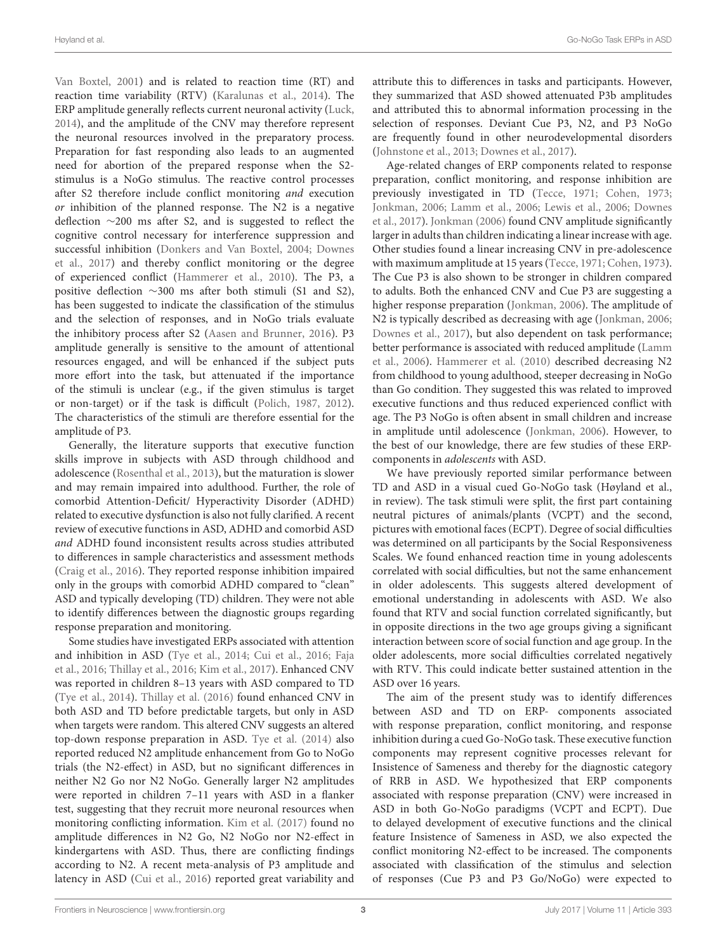Høyland et al. Go-NoGo Task ERPs in ASD

Van Boxtel, [2001\)](#page-10-11) and is related to reaction time (RT) and reaction time variability (RTV) [\(Karalunas et al., 2014\)](#page-11-23). The ERP amplitude generally reflects current neuronal activity [\(Luck,](#page-11-17) [2014\)](#page-11-17), and the amplitude of the CNV may therefore represent the neuronal resources involved in the preparatory process. Preparation for fast responding also leads to an augmented need for abortion of the prepared response when the S2 stimulus is a NoGo stimulus. The reactive control processes after S2 therefore include conflict monitoring and execution or inhibition of the planned response. The N2 is a negative deflection ∼200 ms after S2, and is suggested to reflect the cognitive control necessary for interference suppression and successful inhibition [\(Donkers and Van Boxtel, 2004;](#page-10-12) Downes et al., [2017\)](#page-10-2) and thereby conflict monitoring or the degree of experienced conflict [\(Hammerer et al., 2010\)](#page-11-24). The P3, a positive deflection ∼300 ms after both stimuli (S1 and S2), has been suggested to indicate the classification of the stimulus and the selection of responses, and in NoGo trials evaluate the inhibitory process after S2 [\(Aasen and Brunner, 2016\)](#page-10-13). P3 amplitude generally is sensitive to the amount of attentional resources engaged, and will be enhanced if the subject puts more effort into the task, but attenuated if the importance of the stimuli is unclear (e.g., if the given stimulus is target or non-target) or if the task is difficult [\(Polich, 1987,](#page-11-25) [2012\)](#page-11-26). The characteristics of the stimuli are therefore essential for the amplitude of P3.

Generally, the literature supports that executive function skills improve in subjects with ASD through childhood and adolescence [\(Rosenthal et al., 2013\)](#page-11-27), but the maturation is slower and may remain impaired into adulthood. Further, the role of comorbid Attention-Deficit/ Hyperactivity Disorder (ADHD) related to executive dysfunction is also not fully clarified. A recent review of executive functions in ASD, ADHD and comorbid ASD and ADHD found inconsistent results across studies attributed to differences in sample characteristics and assessment methods [\(Craig et al., 2016\)](#page-10-14). They reported response inhibition impaired only in the groups with comorbid ADHD compared to "clean" ASD and typically developing (TD) children. They were not able to identify differences between the diagnostic groups regarding response preparation and monitoring.

Some studies have investigated ERPs associated with attention and inhibition in ASD [\(Tye et al., 2014;](#page-12-5) [Cui et al., 2016;](#page-10-15) Faja et al., [2016;](#page-11-28) [Thillay et al., 2016;](#page-12-6) [Kim et al., 2017\)](#page-11-29). Enhanced CNV was reported in children 8–13 years with ASD compared to TD [\(Tye et al., 2014\)](#page-12-5). [Thillay et al. \(2016\)](#page-12-6) found enhanced CNV in both ASD and TD before predictable targets, but only in ASD when targets were random. This altered CNV suggests an altered top-down response preparation in ASD. [Tye et al. \(2014\)](#page-12-5) also reported reduced N2 amplitude enhancement from Go to NoGo trials (the N2-effect) in ASD, but no significant differences in neither N2 Go nor N2 NoGo. Generally larger N2 amplitudes were reported in children 7–11 years with ASD in a flanker test, suggesting that they recruit more neuronal resources when monitoring conflicting information. [Kim et al. \(2017\)](#page-11-29) found no amplitude differences in N2 Go, N2 NoGo nor N2-effect in kindergartens with ASD. Thus, there are conflicting findings according to N2. A recent meta-analysis of P3 amplitude and latency in ASD [\(Cui et al., 2016\)](#page-10-15) reported great variability and attribute this to differences in tasks and participants. However, they summarized that ASD showed attenuated P3b amplitudes and attributed this to abnormal information processing in the selection of responses. Deviant Cue P3, N2, and P3 NoGo are frequently found in other neurodevelopmental disorders [\(Johnstone et al., 2013;](#page-11-19) [Downes et al., 2017\)](#page-10-2).

Age-related changes of ERP components related to response preparation, conflict monitoring, and response inhibition are previously investigated in TD [\(Tecce, 1971;](#page-12-7) [Cohen, 1973;](#page-10-16) [Jonkman, 2006;](#page-11-18) [Lamm et al., 2006;](#page-11-30) [Lewis et al., 2006;](#page-11-31) Downes et al., [2017\)](#page-10-2). [Jonkman \(2006\)](#page-11-18) found CNV amplitude significantly larger in adults than children indicating a linear increase with age. Other studies found a linear increasing CNV in pre-adolescence with maximum amplitude at 15 years [\(Tecce, 1971;](#page-12-7) [Cohen, 1973\)](#page-10-16). The Cue P3 is also shown to be stronger in children compared to adults. Both the enhanced CNV and Cue P3 are suggesting a higher response preparation [\(Jonkman, 2006\)](#page-11-18). The amplitude of N2 is typically described as decreasing with age [\(Jonkman, 2006;](#page-11-18) [Downes et al., 2017\)](#page-10-2), but also dependent on task performance; better performance is associated with reduced amplitude (Lamm et al., [2006\)](#page-11-30). [Hammerer et al. \(2010\)](#page-11-24) described decreasing N2 from childhood to young adulthood, steeper decreasing in NoGo than Go condition. They suggested this was related to improved executive functions and thus reduced experienced conflict with age. The P3 NoGo is often absent in small children and increase in amplitude until adolescence [\(Jonkman, 2006\)](#page-11-18). However, to the best of our knowledge, there are few studies of these ERPcomponents in adolescents with ASD.

We have previously reported similar performance between TD and ASD in a visual cued Go-NoGo task (Høyland et al., in review). The task stimuli were split, the first part containing neutral pictures of animals/plants (VCPT) and the second, pictures with emotional faces (ECPT). Degree of social difficulties was determined on all participants by the Social Responsiveness Scales. We found enhanced reaction time in young adolescents correlated with social difficulties, but not the same enhancement in older adolescents. This suggests altered development of emotional understanding in adolescents with ASD. We also found that RTV and social function correlated significantly, but in opposite directions in the two age groups giving a significant interaction between score of social function and age group. In the older adolescents, more social difficulties correlated negatively with RTV. This could indicate better sustained attention in the ASD over 16 years.

The aim of the present study was to identify differences between ASD and TD on ERP- components associated with response preparation, conflict monitoring, and response inhibition during a cued Go-NoGo task. These executive function components may represent cognitive processes relevant for Insistence of Sameness and thereby for the diagnostic category of RRB in ASD. We hypothesized that ERP components associated with response preparation (CNV) were increased in ASD in both Go-NoGo paradigms (VCPT and ECPT). Due to delayed development of executive functions and the clinical feature Insistence of Sameness in ASD, we also expected the conflict monitoring N2-effect to be increased. The components associated with classification of the stimulus and selection of responses (Cue P3 and P3 Go/NoGo) were expected to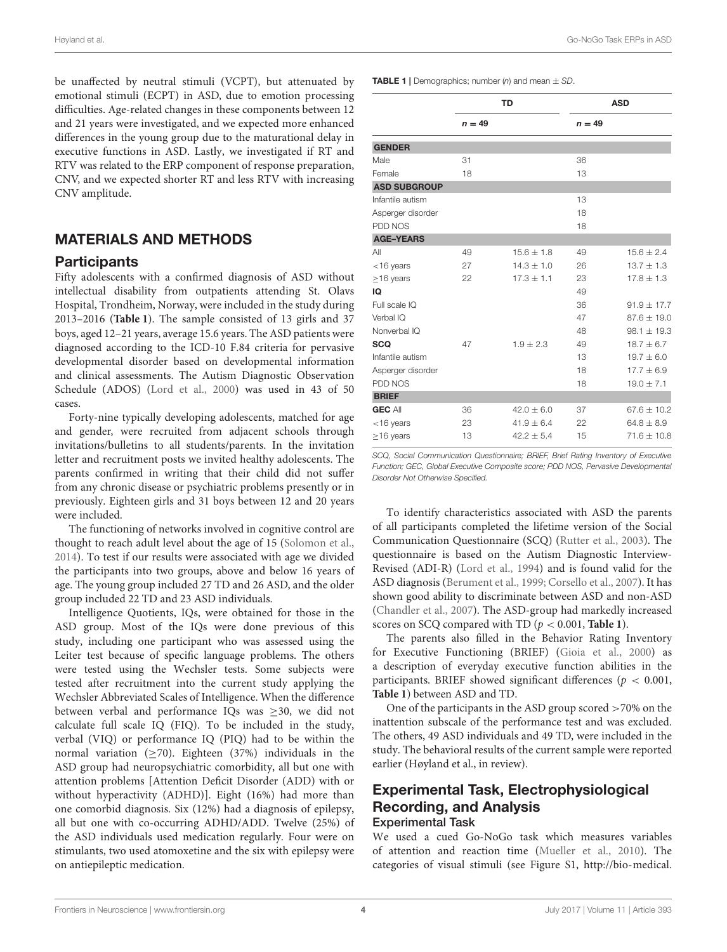be unaffected by neutral stimuli (VCPT), but attenuated by emotional stimuli (ECPT) in ASD, due to emotion processing difficulties. Age-related changes in these components between 12 and 21 years were investigated, and we expected more enhanced differences in the young group due to the maturational delay in executive functions in ASD. Lastly, we investigated if RT and RTV was related to the ERP component of response preparation, CNV, and we expected shorter RT and less RTV with increasing CNV amplitude.

## MATERIALS AND METHODS

#### **Participants**

Fifty adolescents with a confirmed diagnosis of ASD without intellectual disability from outpatients attending St. Olavs Hospital, Trondheim, Norway, were included in the study during 2013–2016 (**[Table 1](#page-3-0)**). The sample consisted of 13 girls and 37 boys, aged 12–21 years, average 15.6 years. The ASD patients were diagnosed according to the ICD-10 F.84 criteria for pervasive developmental disorder based on developmental information and clinical assessments. The Autism Diagnostic Observation Schedule (ADOS) [\(Lord et al., 2000\)](#page-11-32) was used in 43 of 50 cases.

Forty-nine typically developing adolescents, matched for age and gender, were recruited from adjacent schools through invitations/bulletins to all students/parents. In the invitation letter and recruitment posts we invited healthy adolescents. The parents confirmed in writing that their child did not suffer from any chronic disease or psychiatric problems presently or in previously. Eighteen girls and 31 boys between 12 and 20 years were included.

The functioning of networks involved in cognitive control are thought to reach adult level about the age of 15 [\(Solomon et al.,](#page-11-33) [2014\)](#page-11-33). To test if our results were associated with age we divided the participants into two groups, above and below 16 years of age. The young group included 27 TD and 26 ASD, and the older group included 22 TD and 23 ASD individuals.

Intelligence Quotients, IQs, were obtained for those in the ASD group. Most of the IQs were done previous of this study, including one participant who was assessed using the Leiter test because of specific language problems. The others were tested using the Wechsler tests. Some subjects were tested after recruitment into the current study applying the Wechsler Abbreviated Scales of Intelligence. When the difference between verbal and performance IQs was  $\geq$ 30, we did not calculate full scale IQ (FIQ). To be included in the study, verbal (VIQ) or performance IQ (PIQ) had to be within the normal variation ( $\geq$ 70). Eighteen (37%) individuals in the ASD group had neuropsychiatric comorbidity, all but one with attention problems [Attention Deficit Disorder (ADD) with or without hyperactivity (ADHD)]. Eight (16%) had more than one comorbid diagnosis. Six (12%) had a diagnosis of epilepsy, all but one with co-occurring ADHD/ADD. Twelve (25%) of the ASD individuals used medication regularly. Four were on stimulants, two used atomoxetine and the six with epilepsy were on antiepileptic medication.

<span id="page-3-0"></span>

|  | <b>TABLE 1</b>   Demographics; number $(n)$ and mean $\pm$ SD. |  |  |  |  |  |
|--|----------------------------------------------------------------|--|--|--|--|--|
|--|----------------------------------------------------------------|--|--|--|--|--|

|                     | <b>TD</b> |                | <b>ASD</b> |                 |  |
|---------------------|-----------|----------------|------------|-----------------|--|
|                     | $n = 49$  |                | $n = 49$   |                 |  |
| <b>GENDER</b>       |           |                |            |                 |  |
| Male                | 31        |                | 36         |                 |  |
| Female              | 18        |                | 13         |                 |  |
| <b>ASD SUBGROUP</b> |           |                |            |                 |  |
| Infantile autism    |           |                | 13         |                 |  |
| Asperger disorder   |           |                | 18         |                 |  |
| PDD NOS             |           |                | 18         |                 |  |
| <b>AGE-YEARS</b>    |           |                |            |                 |  |
| All                 | 49        | $15.6 \pm 1.8$ | 49         | $15.6 \pm 2.4$  |  |
| $<$ 16 years        | 27        | $14.3 \pm 1.0$ | 26         | $13.7 \pm 1.3$  |  |
| $\geq$ 16 years     | 22        | $17.3 \pm 1.1$ | 23         | $17.8 \pm 1.3$  |  |
| IQ                  |           |                | 49         |                 |  |
| Full scale IQ       |           |                | 36         | $91.9 \pm 17.7$ |  |
| Verbal IQ           |           |                | 47         | $87.6 \pm 19.0$ |  |
| Nonverbal IQ        |           |                | 48         | $98.1 \pm 19.3$ |  |
| <b>SCQ</b>          | 47        | $1.9 \pm 2.3$  | 49         | $18.7 \pm 6.7$  |  |
| Infantile autism    |           |                | 13         | $19.7 \pm 6.0$  |  |
| Asperger disorder   |           |                | 18         | $17.7 \pm 6.9$  |  |
| PDD NOS             |           |                | 18         | $19.0 \pm 7.1$  |  |
| <b>BRIEF</b>        |           |                |            |                 |  |
| <b>GEC AII</b>      | 36        | $42.0 \pm 6.0$ | 37         | $67.6 \pm 10.2$ |  |
| $<$ 16 years        | 23        | $41.9 \pm 6.4$ | 22         | $64.8 \pm 8.9$  |  |
| $\geq$ 16 years     | 13        | $42.2 \pm 5.4$ | 15         | $71.6 \pm 10.8$ |  |

*SCQ, Social Communication Questionnaire; BRIEF, Brief Rating Inventory of Executive Function; GEC, Global Executive Composite score; PDD NOS, Pervasive Developmental Disorder Not Otherwise Specified.*

To identify characteristics associated with ASD the parents of all participants completed the lifetime version of the Social Communication Questionnaire (SCQ) [\(Rutter et al., 2003\)](#page-11-34). The questionnaire is based on the Autism Diagnostic Interview-Revised (ADI-R) [\(Lord et al., 1994\)](#page-11-35) and is found valid for the ASD diagnosis [\(Berument et al., 1999;](#page-10-17) [Corsello et al., 2007\)](#page-10-18). It has shown good ability to discriminate between ASD and non-ASD [\(Chandler et al., 2007\)](#page-10-19). The ASD-group had markedly increased scores on SCQ compared with TD  $(p < 0.001$ , **[Table 1](#page-3-0)**).

The parents also filled in the Behavior Rating Inventory for Executive Functioning (BRIEF) [\(Gioia et al., 2000\)](#page-11-15) as a description of everyday executive function abilities in the participants. BRIEF showed significant differences ( $p < 0.001$ , **[Table 1](#page-3-0)**) between ASD and TD.

One of the participants in the ASD group scored >70% on the inattention subscale of the performance test and was excluded. The others, 49 ASD individuals and 49 TD, were included in the study. The behavioral results of the current sample were reported earlier (Høyland et al., in review).

#### Experimental Task, Electrophysiological Recording, and Analysis Experimental Task

We used a cued Go-NoGo task which measures variables of attention and reaction time [\(Mueller et al., 2010\)](#page-11-36). The categories of visual stimuli (see Figure S1, [http://bio-medical.](http://bio-medical.com/products/psytask.html)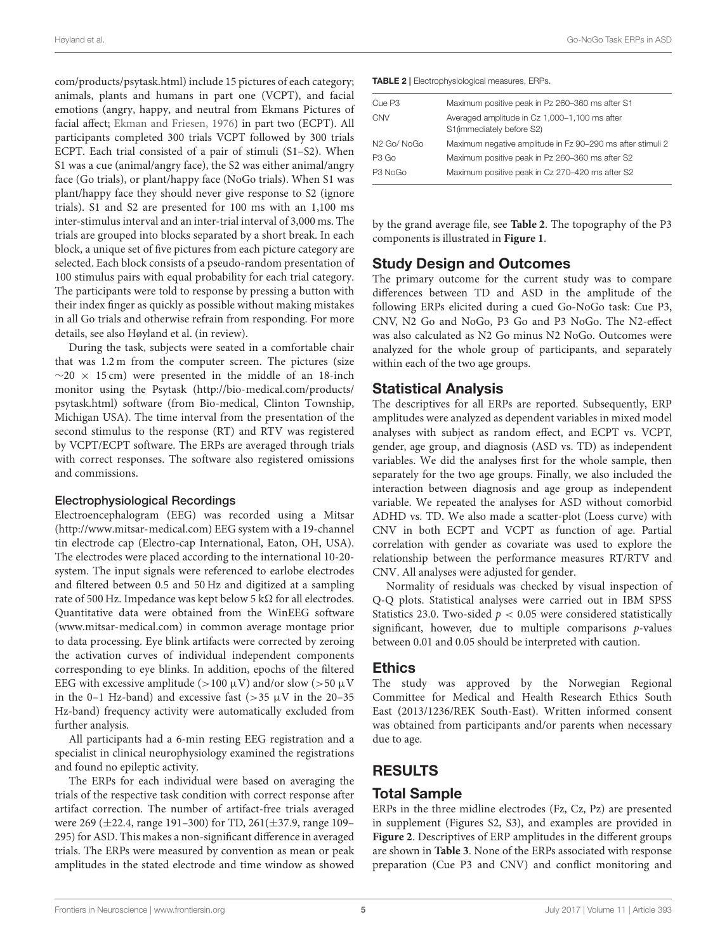[com/products/psytask.html\)](http://bio-medical.com/products/psytask.html) include 15 pictures of each category; animals, plants and humans in part one (VCPT), and facial emotions (angry, happy, and neutral from Ekmans Pictures of facial affect; [Ekman and Friesen, 1976\)](#page-10-20) in part two (ECPT). All participants completed 300 trials VCPT followed by 300 trials ECPT. Each trial consisted of a pair of stimuli (S1–S2). When S1 was a cue (animal/angry face), the S2 was either animal/angry face (Go trials), or plant/happy face (NoGo trials). When S1 was plant/happy face they should never give response to S2 (ignore trials). S1 and S2 are presented for 100 ms with an 1,100 ms inter-stimulus interval and an inter-trial interval of 3,000 ms. The trials are grouped into blocks separated by a short break. In each block, a unique set of five pictures from each picture category are selected. Each block consists of a pseudo-random presentation of 100 stimulus pairs with equal probability for each trial category. The participants were told to response by pressing a button with their index finger as quickly as possible without making mistakes in all Go trials and otherwise refrain from responding. For more details, see also Høyland et al. (in review).

During the task, subjects were seated in a comfortable chair that was 1.2 m from the computer screen. The pictures (size  $\sim$ 20 × 15 cm) were presented in the middle of an 18-inch monitor using the Psytask [\(http://bio-medical.com/products/](http://bio-medical.com/products/psytask.html) [psytask.html\)](http://bio-medical.com/products/psytask.html) software (from Bio-medical, Clinton Township, Michigan USA). The time interval from the presentation of the second stimulus to the response (RT) and RTV was registered by VCPT/ECPT software. The ERPs are averaged through trials with correct responses. The software also registered omissions and commissions.

#### Electrophysiological Recordings

Electroencephalogram (EEG) was recorded using a Mitsar [\(http://www.mitsar-medical.com\)](http://www.mitsar-medical.com) EEG system with a 19-channel tin electrode cap (Electro-cap International, Eaton, OH, USA). The electrodes were placed according to the international 10-20 system. The input signals were referenced to earlobe electrodes and filtered between 0.5 and 50 Hz and digitized at a sampling rate of 500 Hz. Impedance was kept below 5 k $\Omega$  for all electrodes. Quantitative data were obtained from the WinEEG software [\(www.mitsar-medical.com\)](www.mitsar-medical.com) in common average montage prior to data processing. Eye blink artifacts were corrected by zeroing the activation curves of individual independent components corresponding to eye blinks. In addition, epochs of the filtered EEG with excessive amplitude ( $>100 \mu$ V) and/or slow ( $>50 \mu$ V in the 0–1 Hz-band) and excessive fast ( $>$ 35  $\mu$ V in the 20–35 Hz-band) frequency activity were automatically excluded from further analysis.

All participants had a 6-min resting EEG registration and a specialist in clinical neurophysiology examined the registrations and found no epileptic activity.

The ERPs for each individual were based on averaging the trials of the respective task condition with correct response after artifact correction. The number of artifact-free trials averaged were 269 (±22.4, range 191–300) for TD, 261(±37.9, range 109– 295) for ASD. This makes a non-significant difference in averaged trials. The ERPs were measured by convention as mean or peak amplitudes in the stated electrode and time window as showed <span id="page-4-0"></span>TABLE 2 | Electrophysiological measures, ERPs.

| Cue P <sub>3</sub>     | Maximum positive peak in Pz 260-360 ms after S1                            |
|------------------------|----------------------------------------------------------------------------|
| CNV                    | Averaged amplitude in Cz 1,000-1,100 ms after<br>S1(immediately before S2) |
| N <sub>2</sub> Go/NoGo | Maximum negative amplitude in Fz 90-290 ms after stimuli 2                 |
| P <sub>3</sub> Go      | Maximum positive peak in Pz 260-360 ms after S2                            |
| P <sub>3</sub> NoGo    | Maximum positive peak in Cz 270–420 ms after S2                            |

by the grand average file, see **[Table 2](#page-4-0)**. The topography of the P3 components is illustrated in **[Figure 1](#page-5-0)**.

### Study Design and Outcomes

The primary outcome for the current study was to compare differences between TD and ASD in the amplitude of the following ERPs elicited during a cued Go-NoGo task: Cue P3, CNV, N2 Go and NoGo, P3 Go and P3 NoGo. The N2-effect was also calculated as N2 Go minus N2 NoGo. Outcomes were analyzed for the whole group of participants, and separately within each of the two age groups.

### Statistical Analysis

The descriptives for all ERPs are reported. Subsequently, ERP amplitudes were analyzed as dependent variables in mixed model analyses with subject as random effect, and ECPT vs. VCPT, gender, age group, and diagnosis (ASD vs. TD) as independent variables. We did the analyses first for the whole sample, then separately for the two age groups. Finally, we also included the interaction between diagnosis and age group as independent variable. We repeated the analyses for ASD without comorbid ADHD vs. TD. We also made a scatter-plot (Loess curve) with CNV in both ECPT and VCPT as function of age. Partial correlation with gender as covariate was used to explore the relationship between the performance measures RT/RTV and CNV. All analyses were adjusted for gender.

Normality of residuals was checked by visual inspection of Q-Q plots. Statistical analyses were carried out in IBM SPSS Statistics 23.0. Two-sided  $p < 0.05$  were considered statistically significant, however, due to multiple comparisons  $p$ -values between 0.01 and 0.05 should be interpreted with caution.

#### **Ethics**

The study was approved by the Norwegian Regional Committee for Medical and Health Research Ethics South East (2013/1236/REK South-East). Written informed consent was obtained from participants and/or parents when necessary due to age.

# RESULTS

## Total Sample

ERPs in the three midline electrodes (Fz, Cz, Pz) are presented in supplement (Figures S2, S3), and examples are provided in **[Figure 2](#page-6-0)**. Descriptives of ERP amplitudes in the different groups are shown in **[Table 3](#page-7-0)**. None of the ERPs associated with response preparation (Cue P3 and CNV) and conflict monitoring and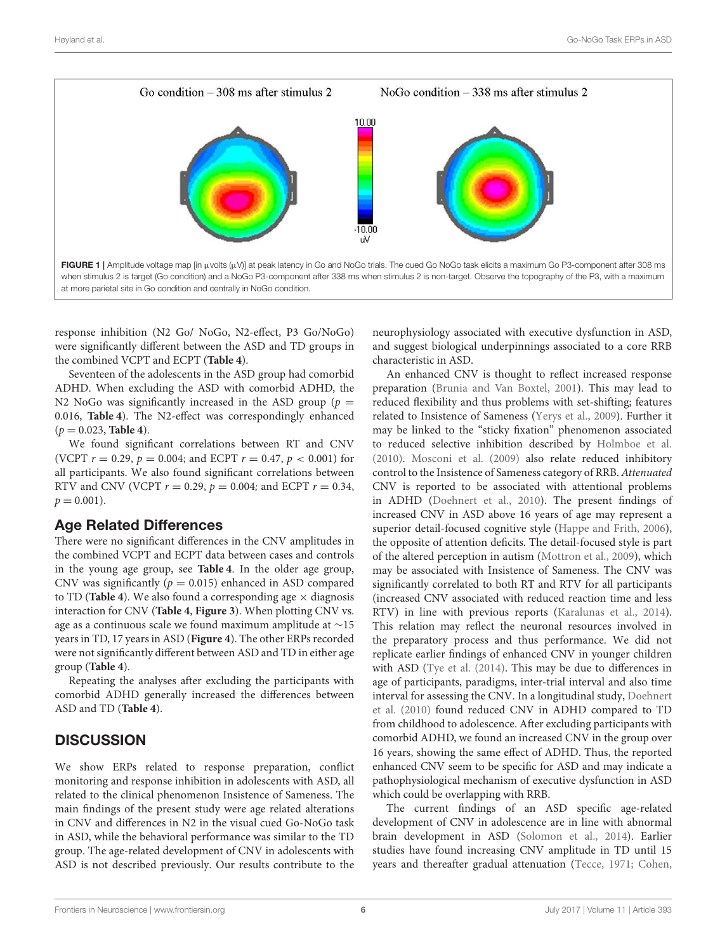

<span id="page-5-0"></span>response inhibition (N2 Go/ NoGo, N2-effect, P3 Go/NoGo) were significantly different between the ASD and TD groups in the combined VCPT and ECPT (**[Table 4](#page-8-0)**).

Seventeen of the adolescents in the ASD group had comorbid ADHD. When excluding the ASD with comorbid ADHD, the N2 NoGo was significantly increased in the ASD group ( $p =$ 0.016, **[Table 4](#page-8-0)**). The N2-effect was correspondingly enhanced  $(p = 0.023,$  **[Table 4](#page-8-0)**).

We found significant correlations between RT and CNV (VCPT  $r = 0.29$ ,  $p = 0.004$ ; and ECPT  $r = 0.47$ ,  $p < 0.001$ ) for all participants. We also found significant correlations between RTV and CNV (VCPT  $r = 0.29$ ,  $p = 0.004$ ; and ECPT  $r = 0.34$ ,  $p = 0.001$ ).

## Age Related Differences

There were no significant differences in the CNV amplitudes in the combined VCPT and ECPT data between cases and controls in the young age group, see **[Table 4](#page-8-0)**. In the older age group, CNV was significantly ( $p = 0.015$ ) enhanced in ASD compared to TD (**[Table 4](#page-8-0)**). We also found a corresponding age  $\times$  diagnosis interaction for CNV (**[Table 4](#page-8-0)**, **[Figure 3](#page-9-0)**). When plotting CNV vs. age as a continuous scale we found maximum amplitude at ∼15 years in TD, 17 years in ASD (**[Figure 4](#page-9-1)**). The other ERPs recorded were not significantly different between ASD and TD in either age group (**[Table 4](#page-8-0)**).

Repeating the analyses after excluding the participants with comorbid ADHD generally increased the differences between ASD and TD (**[Table 4](#page-8-0)**).

# **DISCUSSION**

We show ERPs related to response preparation, conflict monitoring and response inhibition in adolescents with ASD, all related to the clinical phenomenon Insistence of Sameness. The main findings of the present study were age related alterations in CNV and differences in N2 in the visual cued Go-NoGo task in ASD, while the behavioral performance was similar to the TD group. The age-related development of CNV in adolescents with ASD is not described previously. Our results contribute to the neurophysiology associated with executive dysfunction in ASD, and suggest biological underpinnings associated to a core RRB characteristic in ASD.

An enhanced CNV is thought to reflect increased response preparation [\(Brunia and Van Boxtel, 2001\)](#page-10-11). This may lead to reduced flexibility and thus problems with set-shifting; features related to Insistence of Sameness [\(Yerys et al., 2009\)](#page-12-8). Further it may be linked to the "sticky fixation" phenomenon associated to reduced selective inhibition described by [Holmboe et al.](#page-11-11) [\(2010\)](#page-11-11). [Mosconi et al. \(2009\)](#page-11-8) also relate reduced inhibitory control to the Insistence of Sameness category of RRB. Attenuated CNV is reported to be associated with attentional problems in ADHD [\(Doehnert et al., 2010\)](#page-10-21). The present findings of increased CNV in ASD above 16 years of age may represent a superior detail-focused cognitive style [\(Happe and Frith, 2006\)](#page-11-2), the opposite of attention deficits. The detail-focused style is part of the altered perception in autism [\(Mottron et al., 2009\)](#page-11-37), which may be associated with Insistence of Sameness. The CNV was significantly correlated to both RT and RTV for all participants (increased CNV associated with reduced reaction time and less RTV) in line with previous reports [\(Karalunas et al., 2014\)](#page-11-23). This relation may reflect the neuronal resources involved in the preparatory process and thus performance. We did not replicate earlier findings of enhanced CNV in younger children with ASD [\(Tye et al. \(2014\)](#page-12-5). This may be due to differences in age of participants, paradigms, inter-trial interval and also time interval for assessing the CNV. In a longitudinal study, Doehnert et al. [\(2010\)](#page-10-21) found reduced CNV in ADHD compared to TD from childhood to adolescence. After excluding participants with comorbid ADHD, we found an increased CNV in the group over 16 years, showing the same effect of ADHD. Thus, the reported enhanced CNV seem to be specific for ASD and may indicate a pathophysiological mechanism of executive dysfunction in ASD which could be overlapping with RRB.

The current findings of an ASD specific age-related development of CNV in adolescence are in line with abnormal brain development in ASD [\(Solomon et al., 2014\)](#page-11-33). Earlier studies have found increasing CNV amplitude in TD until 15 years and thereafter gradual attenuation [\(Tecce, 1971;](#page-12-7) [Cohen,](#page-10-16)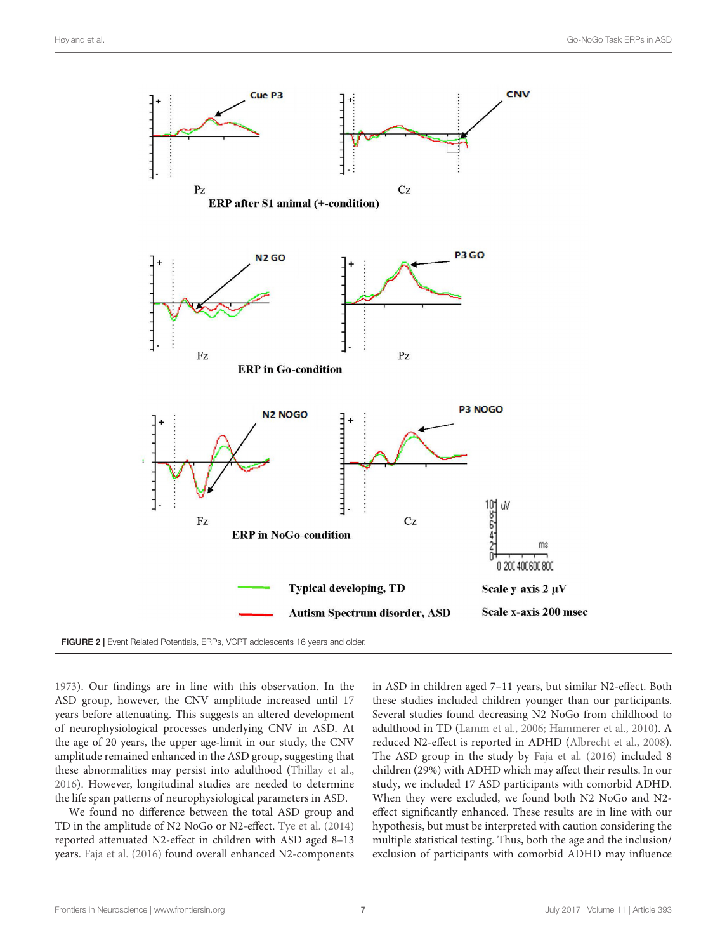

<span id="page-6-0"></span>[1973\)](#page-10-16). Our findings are in line with this observation. In the ASD group, however, the CNV amplitude increased until 17 years before attenuating. This suggests an altered development of neurophysiological processes underlying CNV in ASD. At the age of 20 years, the upper age-limit in our study, the CNV amplitude remained enhanced in the ASD group, suggesting that these abnormalities may persist into adulthood [\(Thillay et al.,](#page-12-6) [2016\)](#page-12-6). However, longitudinal studies are needed to determine the life span patterns of neurophysiological parameters in ASD.

We found no difference between the total ASD group and TD in the amplitude of N2 NoGo or N2-effect. [Tye et al. \(2014\)](#page-12-5) reported attenuated N2-effect in children with ASD aged 8–13 years. [Faja et al. \(2016\)](#page-11-28) found overall enhanced N2-components in ASD in children aged 7–11 years, but similar N2-effect. Both these studies included children younger than our participants. Several studies found decreasing N2 NoGo from childhood to adulthood in TD [\(Lamm et al., 2006;](#page-11-30) [Hammerer et al., 2010\)](#page-11-24). A reduced N2-effect is reported in ADHD [\(Albrecht et al., 2008\)](#page-10-22). The ASD group in the study by [Faja et al. \(2016\)](#page-11-28) included 8 children (29%) with ADHD which may affect their results. In our study, we included 17 ASD participants with comorbid ADHD. When they were excluded, we found both N2 NoGo and N2 effect significantly enhanced. These results are in line with our hypothesis, but must be interpreted with caution considering the multiple statistical testing. Thus, both the age and the inclusion/ exclusion of participants with comorbid ADHD may influence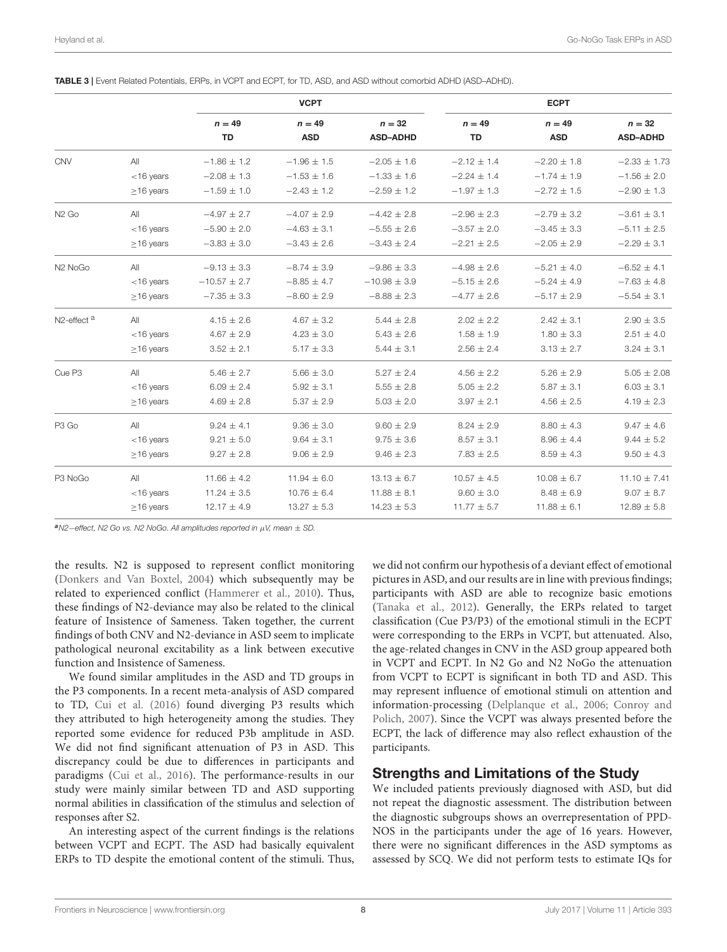|                                     |                 | <b>VCPT</b>      |                 | <b>ECPT</b>      |                 |                 |                  |
|-------------------------------------|-----------------|------------------|-----------------|------------------|-----------------|-----------------|------------------|
|                                     |                 | $n = 49$         | $n = 49$        | $n = 32$         | $n = 49$        | $n = 49$        | $n = 32$         |
|                                     |                 | TD               | <b>ASD</b>      | <b>ASD-ADHD</b>  | <b>TD</b>       | <b>ASD</b>      | <b>ASD-ADHD</b>  |
| <b>CNV</b>                          | All             | $-1.86 \pm 1.2$  | $-1.96 \pm 1.5$ | $-2.05 \pm 1.6$  | $-2.12 \pm 1.4$ | $-2.20 \pm 1.8$ | $-2.33 \pm 1.73$ |
|                                     | $<$ 16 years    | $-2.08 \pm 1.3$  | $-1.53 \pm 1.6$ | $-1.33 \pm 1.6$  | $-2.24 \pm 1.4$ | $-1.74 \pm 1.9$ | $-1.56 \pm 2.0$  |
|                                     | $\geq$ 16 years | $-1.59 \pm 1.0$  | $-2.43 \pm 1.2$ | $-2.59 \pm 1.2$  | $-1.97 \pm 1.3$ | $-2.72 \pm 1.5$ | $-2.90 \pm 1.3$  |
| N <sub>2</sub> Go                   | All             | $-4.97 \pm 2.7$  | $-4.07 \pm 2.9$ | $-4.42 \pm 2.8$  | $-2.96 \pm 2.3$ | $-2.79 \pm 3.2$ | $-3.61 \pm 3.1$  |
|                                     | $<$ 16 years    | $-5.90 \pm 2.0$  | $-4.63 \pm 3.1$ | $-5.55 \pm 2.6$  | $-3.57 \pm 2.0$ | $-3.45 \pm 3.3$ | $-5.11 \pm 2.5$  |
|                                     | $\geq$ 16 years | $-3.83 \pm 3.0$  | $-3.43 \pm 2.6$ | $-3.43 \pm 2.4$  | $-2.21 \pm 2.5$ | $-2.05 \pm 2.9$ | $-2.29 \pm 3.1$  |
| N <sub>2</sub> NoGo                 | All             | $-9.13 \pm 3.3$  | $-8.74 \pm 3.9$ | $-9.86 \pm 3.3$  | $-4.98 \pm 2.6$ | $-5.21 \pm 4.0$ | $-6.52 \pm 4.1$  |
|                                     | $<$ 16 years    | $-10.57 \pm 2.7$ | $-8.85 \pm 4.7$ | $-10.98 \pm 3.9$ | $-5.15 \pm 2.6$ | $-5.24 \pm 4.9$ | $-7.63 \pm 4.8$  |
|                                     | $\geq$ 16 years | $-7.35 \pm 3.3$  | $-8.60 \pm 2.9$ | $-8.88 \pm 2.3$  | $-4.77 \pm 2.6$ | $-5.17 \pm 2.9$ | $-5.54 \pm 3.1$  |
| N <sub>2</sub> -effect <sup>a</sup> | All             | $4.15 \pm 2.6$   | $4.67 \pm 3.2$  | $5.44 \pm 2.8$   | $2.02 \pm 2.2$  | $2.42 \pm 3.1$  | $2.90 \pm 3.5$   |
|                                     | $<$ 16 years    | $4.67 \pm 2.9$   | $4.23 \pm 3.0$  | $5.43 \pm 2.6$   | $1.58 \pm 1.9$  | $1.80 \pm 3.3$  | $2.51 \pm 4.0$   |
|                                     | $\geq$ 16 years | $3.52 \pm 2.1$   | $5.17 \pm 3.3$  | $5.44 \pm 3.1$   | $2.56 \pm 2.4$  | $3.13 \pm 2.7$  | $3.24 \pm 3.1$   |
| Cue P <sub>3</sub>                  | All             | $5.46 \pm 2.7$   | $5.66 \pm 3.0$  | $5.27 \pm 2.4$   | $4.56 \pm 2.2$  | $5.26 \pm 2.9$  | $5.05 \pm 2.08$  |
|                                     | $<$ 16 years    | $6.09 \pm 2.4$   | $5.92 \pm 3.1$  | $5.55 \pm 2.8$   | $5.05 \pm 2.2$  | $5.87 \pm 3.1$  | $6.03 \pm 3.1$   |
|                                     | $\geq$ 16 years | $4.69 \pm 2.8$   | $5.37 \pm 2.9$  | $5.03 \pm 2.0$   | $3.97 \pm 2.1$  | $4.56 \pm 2.5$  | $4.19 \pm 2.3$   |
| P <sub>3</sub> Go                   | All             | $9.24 \pm 4.1$   | $9.36 \pm 3.0$  | $9.60 \pm 2.9$   | $8.24 \pm 2.9$  | $8.80 \pm 4.3$  | $9.47 \pm 4.6$   |
|                                     | $<$ 16 years    | $9.21 \pm 5.0$   | $9.64 \pm 3.1$  | $9.75 \pm 3.6$   | $8.57 \pm 3.1$  | $8.96 \pm 4.4$  | $9.44 \pm 5.2$   |
|                                     | $\geq$ 16 years | $9.27 \pm 2.8$   | $9.06 \pm 2.9$  | $9.46 \pm 2.3$   | $7.83 \pm 2.5$  | $8.59 \pm 4.3$  | $9.50 \pm 4.3$   |
| P3 NoGo                             | All             | $11.66 \pm 4.2$  | $11.94 \pm 6.0$ | $13.13 \pm 6.7$  | $10.57 \pm 4.5$ | $10.08 \pm 6.7$ | $11.10 \pm 7.41$ |
|                                     | $<$ 16 years    | $11.24 \pm 3.5$  | $10.76 \pm 6.4$ | $11.88 \pm 8.1$  | $9.60 \pm 3.0$  | $8.48 \pm 6.9$  | $9.07 \pm 8.7$   |
|                                     | $\geq$ 16 years | $12.17 \pm 4.9$  | $13.27 \pm 5.3$ | $14.23 \pm 5.3$  | $11.77 \pm 5.7$ | $11.88 \pm 6.1$ | $12.89 \pm 5.8$  |

<span id="page-7-0"></span>TABLE 3 | Event Related Potentials, ERPs, in VCPT and ECPT, for TD, ASD, and ASD without comorbid ADHD (ASD–ADHD).

<sup>a</sup>*N2*−*effect, N2 Go vs. N2 NoGo. All amplitudes reported in* µ*V, mean* ± *SD.*

the results. N2 is supposed to represent conflict monitoring [\(Donkers and Van Boxtel, 2004\)](#page-10-12) which subsequently may be related to experienced conflict [\(Hammerer et al., 2010\)](#page-11-24). Thus, these findings of N2-deviance may also be related to the clinical feature of Insistence of Sameness. Taken together, the current findings of both CNV and N2-deviance in ASD seem to implicate pathological neuronal excitability as a link between executive function and Insistence of Sameness.

We found similar amplitudes in the ASD and TD groups in the P3 components. In a recent meta-analysis of ASD compared to TD, [Cui et al. \(2016\)](#page-10-15) found diverging P3 results which they attributed to high heterogeneity among the studies. They reported some evidence for reduced P3b amplitude in ASD. We did not find significant attenuation of P3 in ASD. This discrepancy could be due to differences in participants and paradigms [\(Cui et al., 2016\)](#page-10-15). The performance-results in our study were mainly similar between TD and ASD supporting normal abilities in classification of the stimulus and selection of responses after S2.

An interesting aspect of the current findings is the relations between VCPT and ECPT. The ASD had basically equivalent ERPs to TD despite the emotional content of the stimuli. Thus, we did not confirm our hypothesis of a deviant effect of emotional pictures in ASD, and our results are in line with previous findings; participants with ASD are able to recognize basic emotions [\(Tanaka et al., 2012\)](#page-11-38). Generally, the ERPs related to target classification (Cue P3/P3) of the emotional stimuli in the ECPT were corresponding to the ERPs in VCPT, but attenuated. Also, the age-related changes in CNV in the ASD group appeared both in VCPT and ECPT. In N2 Go and N2 NoGo the attenuation from VCPT to ECPT is significant in both TD and ASD. This may represent influence of emotional stimuli on attention and information-processing [\(Delplanque et al., 2006;](#page-10-23) Conroy and Polich, [2007\)](#page-10-24). Since the VCPT was always presented before the ECPT, the lack of difference may also reflect exhaustion of the participants.

#### Strengths and Limitations of the Study

We included patients previously diagnosed with ASD, but did not repeat the diagnostic assessment. The distribution between the diagnostic subgroups shows an overrepresentation of PPD-NOS in the participants under the age of 16 years. However, there were no significant differences in the ASD symptoms as assessed by SCQ. We did not perform tests to estimate IQs for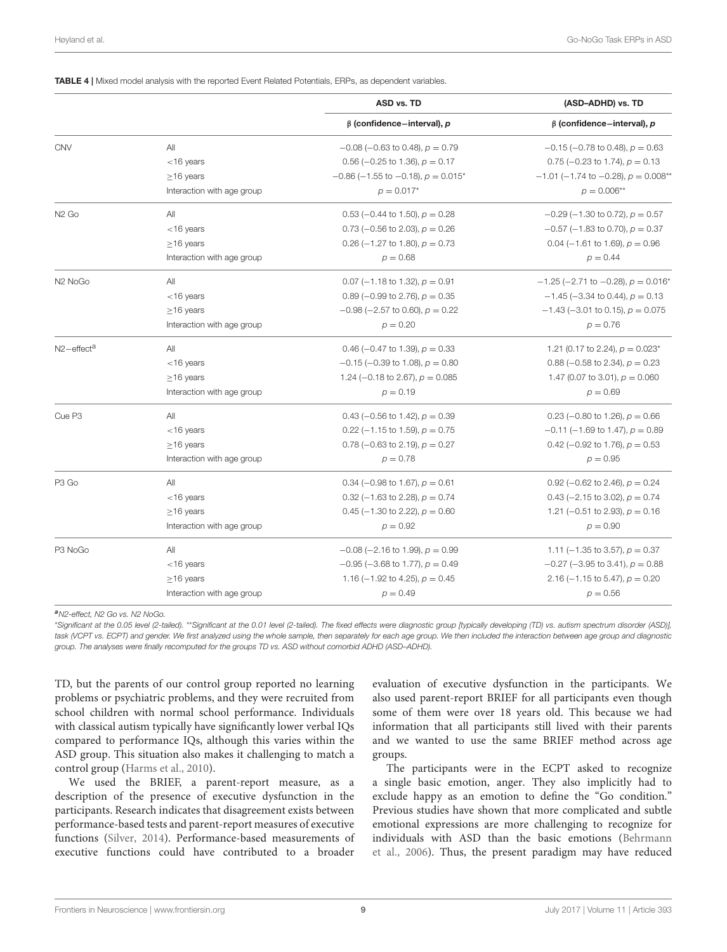#### <span id="page-8-0"></span>TABLE 4 | Mixed model analysis with the reported Event Related Potentials, ERPs, as dependent variables.

|                     |                            | ASD vs. TD                                         | (ASD-ADHD) vs. TD                                  |
|---------------------|----------------------------|----------------------------------------------------|----------------------------------------------------|
|                     |                            | $\beta$ (confidence-interval), p                   | $\beta$ (confidence-interval), p                   |
| <b>CNV</b>          | All                        | $-0.08$ (-0.63 to 0.48), $p = 0.79$                | $-0.15$ (-0.78 to 0.48), $p = 0.63$                |
|                     | $<$ 16 years               | 0.56 (-0.25 to 1.36), $p = 0.17$                   | 0.75 (-0.23 to 1.74), $p = 0.13$                   |
|                     | $\geq$ 16 years            | $-0.86$ (-1.55 to -0.18), $p = 0.015$ <sup>*</sup> | $-1.01$ (-1.74 to -0.28), $p = 0.008**$            |
|                     | Interaction with age group | $p = 0.017*$                                       | $p = 0.006**$                                      |
| N <sub>2</sub> Go   | AlI                        | 0.53 (-0.44 to 1.50), $p = 0.28$                   | $-0.29$ (-1.30 to 0.72), $p = 0.57$                |
|                     | $<$ 16 years               | 0.73 (-0.56 to 2.03), $p = 0.26$                   | $-0.57$ (-1.83 to 0.70), $p = 0.37$                |
|                     | $\geq$ 16 years            | 0.26 ( $-1.27$ to 1.80), $p = 0.73$                | 0.04 (-1.61 to 1.69), $p = 0.96$                   |
|                     | Interaction with age group | $p = 0.68$                                         | $p = 0.44$                                         |
| N <sub>2</sub> NoGo | All                        | 0.07 ( $-1.18$ to 1.32), $p = 0.91$                | $-1.25$ (-2.71 to -0.28), $p = 0.016$ <sup>*</sup> |
|                     | $<$ 16 years               | 0.89 (-0.99 to 2.76), $p = 0.35$                   | $-1.45$ (-3.34 to 0.44), $p = 0.13$                |
|                     | $\geq$ 16 years            | $-0.98$ (-2.57 to 0.60), $p = 0.22$                | $-1.43$ (-3.01 to 0.15), $p = 0.075$               |
|                     | Interaction with age group | $p = 0.20$                                         | $p = 0.76$                                         |
| $N2$ -effecta       | All                        | 0.46 (-0.47 to 1.39), $p = 0.33$                   | 1.21 (0.17 to 2.24), $p = 0.023^*$                 |
|                     | $<$ 16 years               | $-0.15$ (-0.39 to 1.08), $p = 0.80$                | 0.88 (-0.58 to 2.34), $p = 0.23$                   |
|                     | $\geq$ 16 years            | 1.24 (-0.18 to 2.67), $p = 0.085$                  | 1.47 (0.07 to 3.01), $p = 0.060$                   |
|                     | Interaction with age group | $p = 0.19$                                         | $p = 0.69$                                         |
| Cue P <sub>3</sub>  | All                        | 0.43 (-0.56 to 1.42), $p = 0.39$                   | 0.23 (-0.80 to 1.26), $p = 0.66$                   |
|                     | $<$ 16 years               | 0.22 ( $-1.15$ to 1.59), $p = 0.75$                | $-0.11$ (-1.69 to 1.47), $p = 0.89$                |
|                     | $\geq$ 16 years            | 0.78 (-0.63 to 2.19), $p = 0.27$                   | 0.42 (-0.92 to 1.76), $p = 0.53$                   |
|                     | Interaction with age group | $p = 0.78$                                         | $p = 0.95$                                         |
| P <sub>3</sub> Go   | All                        | 0.34 (-0.98 to 1.67), $p = 0.61$                   | 0.92 (-0.62 to 2.46), $p = 0.24$                   |
|                     | $<$ 16 years               | 0.32 ( $-1.63$ to 2.28), $p = 0.74$                | 0.43 (-2.15 to 3.02), $p = 0.74$                   |
|                     | $\geq$ 16 years            | 0.45 (-1.30 to 2.22), $p = 0.60$                   | 1.21 (-0.51 to 2.93), $p = 0.16$                   |
|                     | Interaction with age group | $p = 0.92$                                         | $p = 0.90$                                         |
| P3 NoGo             | All                        | $-0.08$ (-2.16 to 1.99), $p = 0.99$                | 1.11 (-1.35 to 3.57), $p = 0.37$                   |
|                     | $<$ 16 years               | $-0.95$ (-3.68 to 1.77), $p = 0.49$                | $-0.27$ (-3.95 to 3.41), $p = 0.88$                |
|                     | $\geq$ 16 years            | 1.16 ( $-1.92$ to 4.25), $p = 0.45$                | 2.16 ( $-1.15$ to 5.47), $p = 0.20$                |
|                     | Interaction with age group | $p = 0.49$                                         | $p = 0.56$                                         |

<sup>a</sup>*N2-effect, N2 Go vs. N2 NoGo.*

\**Significant at the 0.05 level (2-tailed).* \*\**Significant at the 0.01 level (2-tailed). The fixed effects were diagnostic group [typically developing (TD) vs. autism spectrum disorder (ASD)], task (VCPT vs. ECPT) and gender. We first analyzed using the whole sample, then separately for each age group. We then included the interaction between age group and diagnostic group. The analyses were finally recomputed for the groups TD vs. ASD without comorbid ADHD (ASD–ADHD).*

TD, but the parents of our control group reported no learning problems or psychiatric problems, and they were recruited from school children with normal school performance. Individuals with classical autism typically have significantly lower verbal IQs compared to performance IQs, although this varies within the ASD group. This situation also makes it challenging to match a control group [\(Harms et al., 2010\)](#page-11-39).

We used the BRIEF, a parent-report measure, as a description of the presence of executive dysfunction in the participants. Research indicates that disagreement exists between performance-based tests and parent-report measures of executive functions [\(Silver, 2014\)](#page-11-16). Performance-based measurements of executive functions could have contributed to a broader evaluation of executive dysfunction in the participants. We also used parent-report BRIEF for all participants even though some of them were over 18 years old. This because we had information that all participants still lived with their parents and we wanted to use the same BRIEF method across age groups.

The participants were in the ECPT asked to recognize a single basic emotion, anger. They also implicitly had to exclude happy as an emotion to define the "Go condition." Previous studies have shown that more complicated and subtle emotional expressions are more challenging to recognize for individuals with ASD than the basic emotions (Behrmann et al., [2006\)](#page-10-25). Thus, the present paradigm may have reduced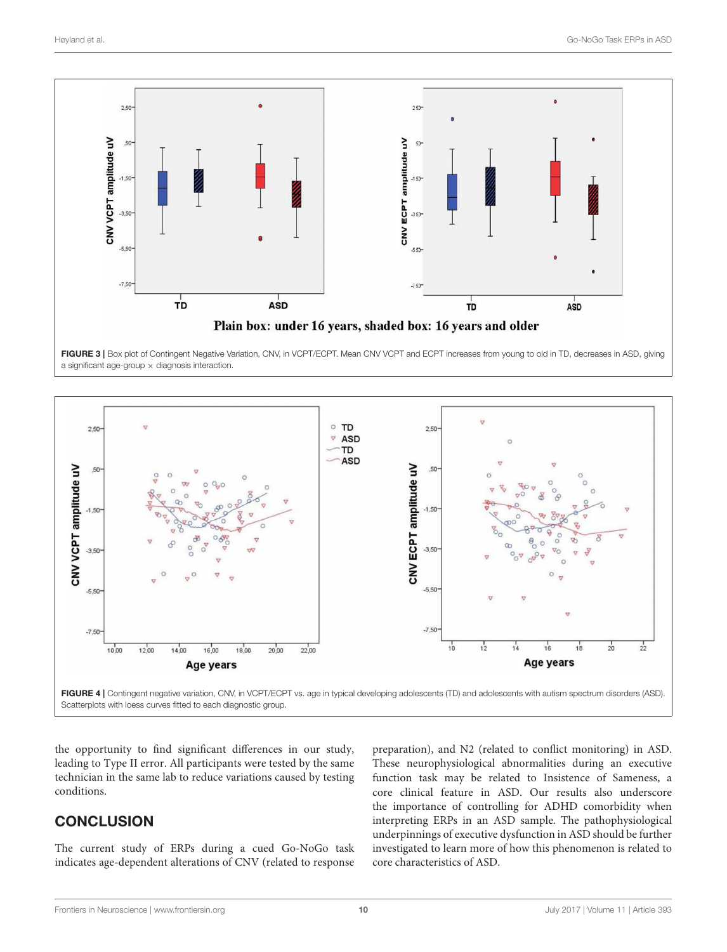

<span id="page-9-0"></span>FIGURE 3 | Box plot of Contingent Negative Variation, CNV, in VCPT/ECPT. Mean CNV VCPT and ECPT increases from young to old in TD, decreases in ASD, giving a significant age-group  $\times$  diagnosis interaction.



<span id="page-9-1"></span>the opportunity to find significant differences in our study, leading to Type II error. All participants were tested by the same technician in the same lab to reduce variations caused by testing conditions.

# **CONCLUSION**

The current study of ERPs during a cued Go-NoGo task indicates age-dependent alterations of CNV (related to response preparation), and N2 (related to conflict monitoring) in ASD. These neurophysiological abnormalities during an executive function task may be related to Insistence of Sameness, a core clinical feature in ASD. Our results also underscore the importance of controlling for ADHD comorbidity when interpreting ERPs in an ASD sample. The pathophysiological underpinnings of executive dysfunction in ASD should be further investigated to learn more of how this phenomenon is related to core characteristics of ASD.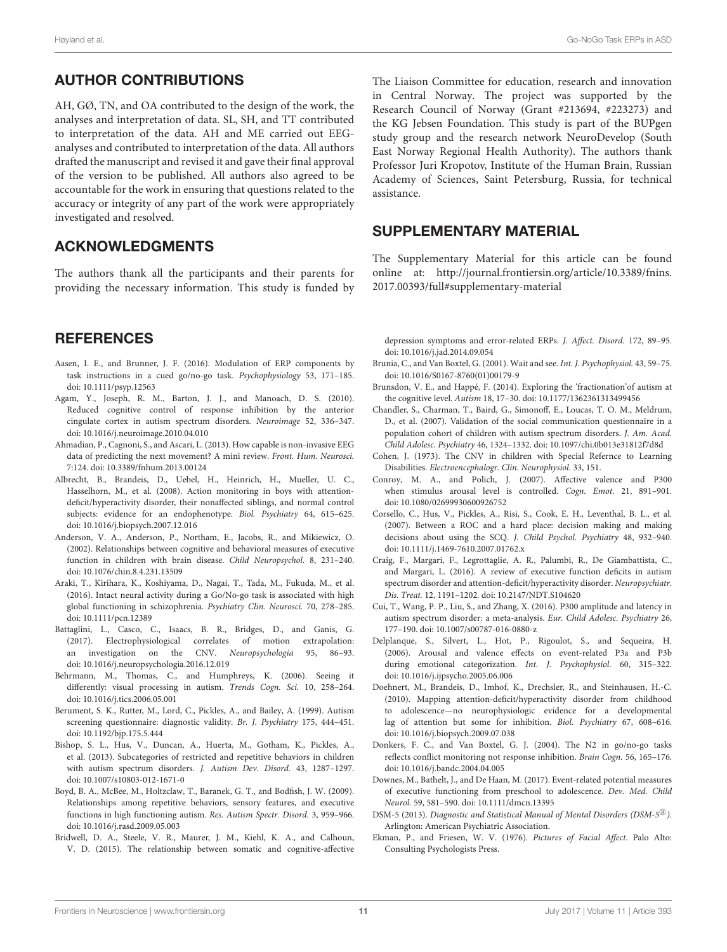# AUTHOR CONTRIBUTIONS

AH, GØ, TN, and OA contributed to the design of the work, the analyses and interpretation of data. SL, SH, and TT contributed to interpretation of the data. AH and ME carried out EEGanalyses and contributed to interpretation of the data. All authors drafted the manuscript and revised it and gave their final approval of the version to be published. All authors also agreed to be accountable for the work in ensuring that questions related to the accuracy or integrity of any part of the work were appropriately investigated and resolved.

## ACKNOWLEDGMENTS

The authors thank all the participants and their parents for providing the necessary information. This study is funded by

## **REFERENCES**

- <span id="page-10-13"></span>Aasen, I. E., and Brunner, J. F. (2016). Modulation of ERP components by task instructions in a cued go/no-go task. Psychophysiology 53, 171–185. doi: [10.1111/psyp.12563](https://doi.org/10.1111/psyp.12563)
- <span id="page-10-3"></span>Agam, Y., Joseph, R. M., Barton, J. J., and Manoach, D. S. (2010). Reduced cognitive control of response inhibition by the anterior cingulate cortex in autism spectrum disorders. Neuroimage 52, 336–347. doi: [10.1016/j.neuroimage.2010.04.010](https://doi.org/10.1016/j.neuroimage.2010.04.010)
- <span id="page-10-9"></span>Ahmadian, P., Cagnoni, S., and Ascari, L. (2013). How capable is non-invasive EEG data of predicting the next movement? A mini review. Front. Hum. Neurosci. 7:124. doi: [10.3389/fnhum.2013.00124](https://doi.org/10.3389/fnhum.2013.00124)
- <span id="page-10-22"></span>Albrecht, B., Brandeis, D., Uebel, H., Heinrich, H., Mueller, U. C., Hasselhorn, M., et al. (2008). Action monitoring in boys with attentiondeficit/hyperactivity disorder, their nonaffected siblings, and normal control subjects: evidence for an endophenotype. Biol. Psychiatry 64, 615–625. doi: [10.1016/j.biopsych.2007.12.016](https://doi.org/10.1016/j.biopsych.2007.12.016)
- <span id="page-10-6"></span>Anderson, V. A., Anderson, P., Northam, E., Jacobs, R., and Mikiewicz, O. (2002). Relationships between cognitive and behavioral measures of executive function in children with brain disease. Child Neuropsychol. 8, 231–240. doi: [10.1076/chin.8.4.231.13509](https://doi.org/10.1076/chin.8.4.231.13509)
- <span id="page-10-8"></span>Araki, T., Kirihara, K., Koshiyama, D., Nagai, T., Tada, M., Fukuda, M., et al. (2016). Intact neural activity during a Go/No-go task is associated with high global functioning in schizophrenia. Psychiatry Clin. Neurosci. 70, 278–285. doi: [10.1111/pcn.12389](https://doi.org/10.1111/pcn.12389)
- <span id="page-10-10"></span>Battaglini, L., Casco, C., Isaacs, B. R., Bridges, D., and Ganis, G. (2017). Electrophysiological correlates of motion extrapolation: an investigation on the CNV. Neuropsychologia 95, 86–93. doi: [10.1016/j.neuropsychologia.2016.12.019](https://doi.org/10.1016/j.neuropsychologia.2016.12.019)
- <span id="page-10-25"></span>Behrmann, M., Thomas, C., and Humphreys, K. (2006). Seeing it differently: visual processing in autism. Trends Cogn. Sci. 10, 258–264. doi: [10.1016/j.tics.2006.05.001](https://doi.org/10.1016/j.tics.2006.05.001)
- <span id="page-10-17"></span>Berument, S. K., Rutter, M., Lord, C., Pickles, A., and Bailey, A. (1999). Autism screening questionnaire: diagnostic validity. Br. J. Psychiatry 175, 444–451. doi: [10.1192/bjp.175.5.444](https://doi.org/10.1192/bjp.175.5.444)
- <span id="page-10-4"></span>Bishop, S. L., Hus, V., Duncan, A., Huerta, M., Gotham, K., Pickles, A., et al. (2013). Subcategories of restricted and repetitive behaviors in children with autism spectrum disorders. J. Autism Dev. Disord. 43, 1287–1297. doi: [10.1007/s10803-012-1671-0](https://doi.org/10.1007/s10803-012-1671-0)
- <span id="page-10-5"></span>Boyd, B. A., McBee, M., Holtzclaw, T., Baranek, G. T., and Bodfish, J. W. (2009). Relationships among repetitive behaviors, sensory features, and executive functions in high functioning autism. Res. Autism Spectr. Disord. 3, 959–966. doi: [10.1016/j.rasd.2009.05.003](https://doi.org/10.1016/j.rasd.2009.05.003)
- <span id="page-10-7"></span>Bridwell, D. A., Steele, V. R., Maurer, J. M., Kiehl, K. A., and Calhoun, V. D. (2015). The relationship between somatic and cognitive-affective

The Liaison Committee for education, research and innovation in Central Norway. The project was supported by the Research Council of Norway (Grant #213694, #223273) and the KG Jebsen Foundation. This study is part of the BUPgen study group and the research network NeuroDevelop (South East Norway Regional Health Authority). The authors thank Professor Juri Kropotov, Institute of the Human Brain, Russian Academy of Sciences, Saint Petersburg, Russia, for technical assistance.

#### SUPPLEMENTARY MATERIAL

The Supplementary Material for this article can be found [online at: http://journal.frontiersin.org/article/10.3389/fnins.](http://journal.frontiersin.org/article/10.3389/fnins.2017.00393/full#supplementary-material) 2017.00393/full#supplementary-material

depression symptoms and error-related ERPs. J. Affect. Disord. 172, 89–95. doi: [10.1016/j.jad.2014.09.054](https://doi.org/10.1016/j.jad.2014.09.054)

- <span id="page-10-11"></span>Brunia, C., and Van Boxtel, G. (2001). Wait and see. Int. J. Psychophysiol. 43, 59–75. doi: [10.1016/S0167-8760\(01\)00179-9](https://doi.org/10.1016/S0167-8760(01)00179-9)
- <span id="page-10-1"></span>Brunsdon, V. E., and Happé, F. (2014). Exploring the 'fractionation'of autism at the cognitive level. Autism 18, 17–30. doi: [10.1177/1362361313499456](https://doi.org/10.1177/1362361313499456)
- <span id="page-10-19"></span>Chandler, S., Charman, T., Baird, G., Simonoff, E., Loucas, T. O. M., Meldrum, D., et al. (2007). Validation of the social communication questionnaire in a population cohort of children with autism spectrum disorders. J. Am. Acad. Child Adolesc. Psychiatry 46, 1324–1332. doi: [10.1097/chi.0b013e31812f7d8d](https://doi.org/10.1097/chi.0b013e31812f7d8d)
- <span id="page-10-16"></span>Cohen, J. (1973). The CNV in children with Special Refernce to Learning Disabilities. Electroencephalogr. Clin. Neurophysiol. 33, 151.
- <span id="page-10-24"></span>Conroy, M. A., and Polich, J. (2007). Affective valence and P300 when stimulus arousal level is controlled. Cogn. Emot. 21, 891–901. doi: [10.1080/02699930600926752](https://doi.org/10.1080/02699930600926752)
- <span id="page-10-18"></span>Corsello, C., Hus, V., Pickles, A., Risi, S., Cook, E. H., Leventhal, B. L., et al. (2007). Between a ROC and a hard place: decision making and making decisions about using the SCQ. J. Child Psychol. Psychiatry 48, 932–940. doi: [10.1111/j.1469-7610.2007.01762.x](https://doi.org/10.1111/j.1469-7610.2007.01762.x)
- <span id="page-10-14"></span>Craig, F., Margari, F., Legrottaglie, A. R., Palumbi, R., De Giambattista, C., and Margari, L. (2016). A review of executive function deficits in autism spectrum disorder and attention-deficit/hyperactivity disorder. Neuropsychiatr. Dis. Treat. 12, 1191–1202. doi: [10.2147/NDT.S104620](https://doi.org/10.2147/NDT.S104620)
- <span id="page-10-15"></span>Cui, T., Wang, P. P., Liu, S., and Zhang, X. (2016). P300 amplitude and latency in autism spectrum disorder: a meta-analysis. Eur. Child Adolesc. Psychiatry 26, 177–190. doi: [10.1007/s00787-016-0880-z](https://doi.org/10.1007/s00787-016-0880-z)
- <span id="page-10-23"></span>Delplanque, S., Silvert, L., Hot, P., Rigoulot, S., and Sequeira, H. (2006). Arousal and valence effects on event-related P3a and P3b during emotional categorization. Int. J. Psychophysiol. 60, 315–322. doi: [10.1016/j.ijpsycho.2005.06.006](https://doi.org/10.1016/j.ijpsycho.2005.06.006)
- <span id="page-10-21"></span>Doehnert, M., Brandeis, D., Imhof, K., Drechsler, R., and Steinhausen, H.-C. (2010). Mapping attention-deficit/hyperactivity disorder from childhood to adolescence—no neurophysiologic evidence for a developmental lag of attention but some for inhibition. Biol. Psychiatry 67, 608–616. doi: [10.1016/j.biopsych.2009.07.038](https://doi.org/10.1016/j.biopsych.2009.07.038)
- <span id="page-10-12"></span>Donkers, F. C., and Van Boxtel, G. J. (2004). The N2 in go/no-go tasks reflects conflict monitoring not response inhibition. Brain Cogn. 56, 165–176. doi: [10.1016/j.bandc.2004.04.005](https://doi.org/10.1016/j.bandc.2004.04.005)
- <span id="page-10-2"></span>Downes, M., Bathelt, J., and De Haan, M. (2017). Event-related potential measures of executive functioning from preschool to adolescence. Dev. Med. Child Neurol. 59, 581–590. doi: [10.1111/dmcn.13395](https://doi.org/10.1111/dmcn.13395)
- <span id="page-10-0"></span>DSM-5 (2013). Diagnostic and Statistical Manual of Mental Disorders (DSM-5<sup>®</sup>). Arlington: American Psychiatric Association.
- <span id="page-10-20"></span>Ekman, P., and Friesen, W. V. (1976). Pictures of Facial Affect. Palo Alto: Consulting Psychologists Press.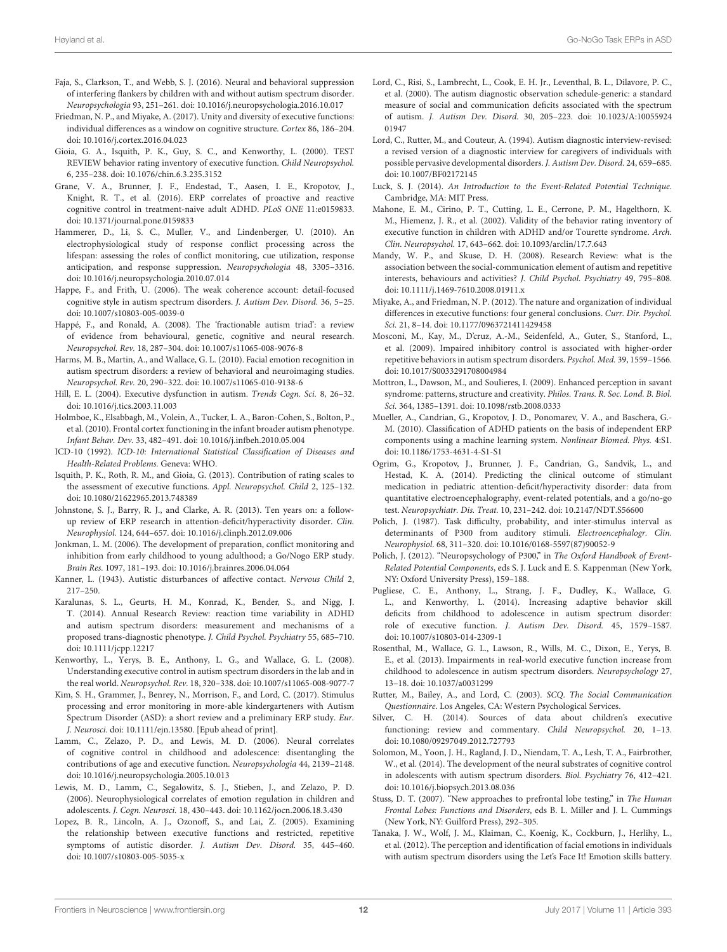- <span id="page-11-28"></span>Faja, S., Clarkson, T., and Webb, S. J. (2016). Neural and behavioral suppression of interfering flankers by children with and without autism spectrum disorder. Neuropsychologia 93, 251–261. doi: [10.1016/j.neuropsychologia.2016.10.017](https://doi.org/10.1016/j.neuropsychologia.2016.10.017)
- <span id="page-11-4"></span>Friedman, N. P., and Miyake, A. (2017). Unity and diversity of executive functions: individual differences as a window on cognitive structure. Cortex 86, 186–204. doi: [10.1016/j.cortex.2016.04.023](https://doi.org/10.1016/j.cortex.2016.04.023)
- <span id="page-11-15"></span>Gioia, G. A., Isquith, P. K., Guy, S. C., and Kenworthy, L. (2000). TEST REVIEW behavior rating inventory of executive function. Child Neuropsychol. 6, 235–238. doi: [10.1076/chin.6.3.235.3152](https://doi.org/10.1076/chin.6.3.235.3152)
- <span id="page-11-21"></span>Grane, V. A., Brunner, J. F., Endestad, T., Aasen, I. E., Kropotov, J., Knight, R. T., et al. (2016). ERP correlates of proactive and reactive cognitive control in treatment-naive adult ADHD. PLoS ONE 11:e0159833. doi: [10.1371/journal.pone.0159833](https://doi.org/10.1371/journal.pone.0159833)
- <span id="page-11-24"></span>Hammerer, D., Li, S. C., Muller, V., and Lindenberger, U. (2010). An electrophysiological study of response conflict processing across the lifespan: assessing the roles of conflict monitoring, cue utilization, response anticipation, and response suppression. Neuropsychologia 48, 3305–3316. doi: [10.1016/j.neuropsychologia.2010.07.014](https://doi.org/10.1016/j.neuropsychologia.2010.07.014)
- <span id="page-11-2"></span>Happe, F., and Frith, U. (2006). The weak coherence account: detail-focused cognitive style in autism spectrum disorders. J. Autism Dev. Disord. 36, 5–25. doi: [10.1007/s10803-005-0039-0](https://doi.org/10.1007/s10803-005-0039-0)
- <span id="page-11-10"></span>Happé, F., and Ronald, A. (2008). The 'fractionable autism triad': a review of evidence from behavioural, genetic, cognitive and neural research. Neuropsychol. Rev. 18, 287–304. doi: [10.1007/s11065-008-9076-8](https://doi.org/10.1007/s11065-008-9076-8)
- <span id="page-11-39"></span>Harms, M. B., Martin, A., and Wallace, G. L. (2010). Facial emotion recognition in autism spectrum disorders: a review of behavioral and neuroimaging studies. Neuropsychol. Rev. 20, 290–322. doi: [10.1007/s11065-010-9138-6](https://doi.org/10.1007/s11065-010-9138-6)
- <span id="page-11-5"></span>Hill, E. L. (2004). Executive dysfunction in autism. Trends Cogn. Sci. 8, 26–32. doi: [10.1016/j.tics.2003.11.003](https://doi.org/10.1016/j.tics.2003.11.003)
- <span id="page-11-11"></span>Holmboe, K., Elsabbagh, M., Volein, A., Tucker, L. A., Baron-Cohen, S., Bolton, P., et al. (2010). Frontal cortex functioning in the infant broader autism phenotype. Infant Behav. Dev. 33, 482–491. doi: [10.1016/j.infbeh.2010.05.004](https://doi.org/10.1016/j.infbeh.2010.05.004)
- <span id="page-11-0"></span>ICD-10 (1992). ICD-10: International Statistical Classification of Diseases and Health-Related Problems. Geneva: WHO.
- <span id="page-11-14"></span>Isquith, P. K., Roth, R. M., and Gioia, G. (2013). Contribution of rating scales to the assessment of executive functions. Appl. Neuropsychol. Child 2, 125–132. doi: [10.1080/21622965.2013.748389](https://doi.org/10.1080/21622965.2013.748389)
- <span id="page-11-19"></span>Johnstone, S. J., Barry, R. J., and Clarke, A. R. (2013). Ten years on: a followup review of ERP research in attention-deficit/hyperactivity disorder. Clin. Neurophysiol. 124, 644–657. doi: [10.1016/j.clinph.2012.09.006](https://doi.org/10.1016/j.clinph.2012.09.006)
- <span id="page-11-18"></span>Jonkman, L. M. (2006). The development of preparation, conflict monitoring and inhibition from early childhood to young adulthood; a Go/Nogo ERP study. Brain Res. 1097, 181–193. doi: [10.1016/j.brainres.2006.04.064](https://doi.org/10.1016/j.brainres.2006.04.064)
- <span id="page-11-1"></span>Kanner, L. (1943). Autistic disturbances of affective contact. Nervous Child 2, 217–250.
- <span id="page-11-23"></span>Karalunas, S. L., Geurts, H. M., Konrad, K., Bender, S., and Nigg, J. T. (2014). Annual Research Review: reaction time variability in ADHD and autism spectrum disorders: measurement and mechanisms of a proposed trans-diagnostic phenotype. J. Child Psychol. Psychiatry 55, 685–710. doi: [10.1111/jcpp.12217](https://doi.org/10.1111/jcpp.12217)
- <span id="page-11-13"></span>Kenworthy, L., Yerys, B. E., Anthony, L. G., and Wallace, G. L. (2008). Understanding executive control in autism spectrum disorders in the lab and in the real world. Neuropsychol. Rev. 18, 320–338. doi: [10.1007/s11065-008-9077-7](https://doi.org/10.1007/s11065-008-9077-7)
- <span id="page-11-29"></span>Kim, S. H., Grammer, J., Benrey, N., Morrison, F., and Lord, C. (2017). Stimulus processing and error monitoring in more-able kindergarteners with Autism Spectrum Disorder (ASD): a short review and a preliminary ERP study. Eur. J. Neurosci. doi: [10.1111/ejn.13580.](https://doi.org/10.1111/ejn.13580) [Epub ahead of print].
- <span id="page-11-30"></span>Lamm, C., Zelazo, P. D., and Lewis, M. D. (2006). Neural correlates of cognitive control in childhood and adolescence: disentangling the contributions of age and executive function. Neuropsychologia 44, 2139–2148. doi: [10.1016/j.neuropsychologia.2005.10.013](https://doi.org/10.1016/j.neuropsychologia.2005.10.013)
- <span id="page-11-31"></span>Lewis, M. D., Lamm, C., Segalowitz, S. J., Stieben, J., and Zelazo, P. D. (2006). Neurophysiological correlates of emotion regulation in children and adolescents. J. Cogn. Neurosci. 18, 430–443. doi: [10.1162/jocn.2006.18.3.430](https://doi.org/10.1162/jocn.2006.18.3.430)
- <span id="page-11-9"></span>Lopez, B. R., Lincoln, A. J., Ozonoff, S., and Lai, Z. (2005). Examining the relationship between executive functions and restricted, repetitive symptoms of autistic disorder. J. Autism Dev. Disord. 35, 445–460. doi: [10.1007/s10803-005-5035-x](https://doi.org/10.1007/s10803-005-5035-x)
- <span id="page-11-32"></span>Lord, C., Risi, S., Lambrecht, L., Cook, E. H. Jr., Leventhal, B. L., Dilavore, P. C., et al. (2000). The autism diagnostic observation schedule-generic: a standard measure of social and communication deficits associated with the spectrum of autism. J. Autism Dev. Disord. [30, 205–223. doi: 10.1023/A:10055924](https://doi.org/10.1023/A:1005592401947) 01947
- <span id="page-11-35"></span>Lord, C., Rutter, M., and Couteur, A. (1994). Autism diagnostic interview-revised: a revised version of a diagnostic interview for caregivers of individuals with possible pervasive developmental disorders. J. Autism Dev. Disord. 24, 659–685. doi: [10.1007/BF02172145](https://doi.org/10.1007/BF02172145)
- <span id="page-11-17"></span>Luck, S. J. (2014). An Introduction to the Event-Related Potential Technique. Cambridge, MA: MIT Press.
- <span id="page-11-12"></span>Mahone, E. M., Cirino, P. T., Cutting, L. E., Cerrone, P. M., Hagelthorn, K. M., Hiemenz, J. R., et al. (2002). Validity of the behavior rating inventory of executive function in children with ADHD and/or Tourette syndrome. Arch. Clin. Neuropsychol. 17, 643–662. doi: [10.1093/arclin/17.7.643](https://doi.org/10.1093/arclin/17.7.643)
- <span id="page-11-3"></span>Mandy, W. P., and Skuse, D. H. (2008). Research Review: what is the association between the social-communication element of autism and repetitive interests, behaviours and activities? J. Child Psychol. Psychiatry 49, 795–808. doi: [10.1111/j.1469-7610.2008.01911.x](https://doi.org/10.1111/j.1469-7610.2008.01911.x)
- <span id="page-11-7"></span>Miyake, A., and Friedman, N. P. (2012). The nature and organization of individual differences in executive functions: four general conclusions. Curr. Dir. Psychol. Sci. 21, 8–14. doi: [10.1177/0963721411429458](https://doi.org/10.1177/0963721411429458)
- <span id="page-11-8"></span>Mosconi, M., Kay, M., D'cruz, A.-M., Seidenfeld, A., Guter, S., Stanford, L., et al. (2009). Impaired inhibitory control is associated with higher-order repetitive behaviors in autism spectrum disorders. Psychol. Med. 39, 1559–1566. doi: [10.1017/S0033291708004984](https://doi.org/10.1017/S0033291708004984)
- <span id="page-11-37"></span>Mottron, L., Dawson, M., and Soulieres, I. (2009). Enhanced perception in savant syndrome: patterns, structure and creativity. Philos. Trans. R. Soc. Lond. B. Biol. Sci. 364, 1385–1391. doi: [10.1098/rstb.2008.0333](https://doi.org/10.1098/rstb.2008.0333)
- <span id="page-11-36"></span>Mueller, A., Candrian, G., Kropotov, J. D., Ponomarev, V. A., and Baschera, G.- M. (2010). Classification of ADHD patients on the basis of independent ERP components using a machine learning system. Nonlinear Biomed. Phys. 4:S1. doi: [10.1186/1753-4631-4-S1-S1](https://doi.org/10.1186/1753-4631-4-S1-S1)
- <span id="page-11-20"></span>Ogrim, G., Kropotov, J., Brunner, J. F., Candrian, G., Sandvik, L., and Hestad, K. A. (2014). Predicting the clinical outcome of stimulant medication in pediatric attention-deficit/hyperactivity disorder: data from quantitative electroencephalography, event-related potentials, and a go/no-go test. Neuropsychiatr. Dis. Treat. 10, 231–242. doi: [10.2147/NDT.S56600](https://doi.org/10.2147/NDT.S56600)
- <span id="page-11-25"></span>Polich, J. (1987). Task difficulty, probability, and inter-stimulus interval as determinants of P300 from auditory stimuli. Electroencephalogr. Clin. Neurophysiol. 68, 311–320. doi: [10.1016/0168-5597\(87\)90052-9](https://doi.org/10.1016/0168-5597(87)90052-9)
- <span id="page-11-26"></span>Polich, J. (2012). "Neuropsychology of P300," in The Oxford Handbook of Event-Related Potential Components, eds S. J. Luck and E. S. Kappenman (New York, NY: Oxford University Press), 159–188.
- <span id="page-11-6"></span>Pugliese, C. E., Anthony, L., Strang, J. F., Dudley, K., Wallace, G. L., and Kenworthy, L. (2014). Increasing adaptive behavior skill deficits from childhood to adolescence in autism spectrum disorder: role of executive function. J. Autism Dev. Disord. 45, 1579–1587. doi: [10.1007/s10803-014-2309-1](https://doi.org/10.1007/s10803-014-2309-1)
- <span id="page-11-27"></span>Rosenthal, M., Wallace, G. L., Lawson, R., Wills, M. C., Dixon, E., Yerys, B. E., et al. (2013). Impairments in real-world executive function increase from childhood to adolescence in autism spectrum disorders. Neuropsychology 27, 13–18. doi: [10.1037/a0031299](https://doi.org/10.1037/a0031299)
- <span id="page-11-34"></span>Rutter, M., Bailey, A., and Lord, C. (2003). SCQ. The Social Communication Questionnaire. Los Angeles, CA: Western Psychological Services.
- <span id="page-11-16"></span>Silver, C. H. (2014). Sources of data about children's executive functioning: review and commentary. Child Neuropsychol. 20, 1–13. doi: [10.1080/09297049.2012.727793](https://doi.org/10.1080/09297049.2012.727793)
- <span id="page-11-33"></span>Solomon, M., Yoon, J. H., Ragland, J. D., Niendam, T. A., Lesh, T. A., Fairbrother, W., et al. (2014). The development of the neural substrates of cognitive control in adolescents with autism spectrum disorders. Biol. Psychiatry 76, 412–421. doi: [10.1016/j.biopsych.2013.08.036](https://doi.org/10.1016/j.biopsych.2013.08.036)
- <span id="page-11-22"></span>Stuss, D. T. (2007). "New approaches to prefrontal lobe testing," in The Human Frontal Lobes: Functions and Disorders, eds B. L. Miller and J. L. Cummings (New York, NY: Guilford Press), 292–305.
- <span id="page-11-38"></span>Tanaka, J. W., Wolf, J. M., Klaiman, C., Koenig, K., Cockburn, J., Herlihy, L., et al. (2012). The perception and identification of facial emotions in individuals with autism spectrum disorders using the Let's Face It! Emotion skills battery.